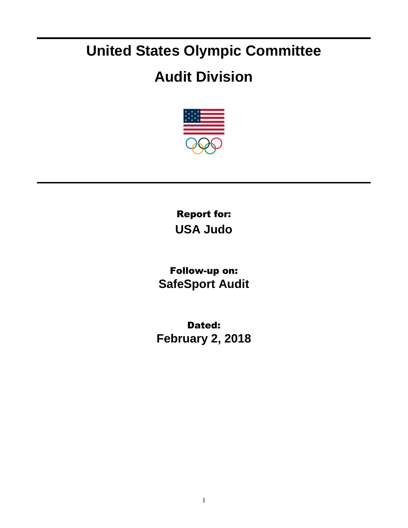## **United States Olympic Committee**

## **Audit Division**



Report for: **USA Judo**

Follow-up on: **SafeSport Audit**

Dated: **February 2, 2018**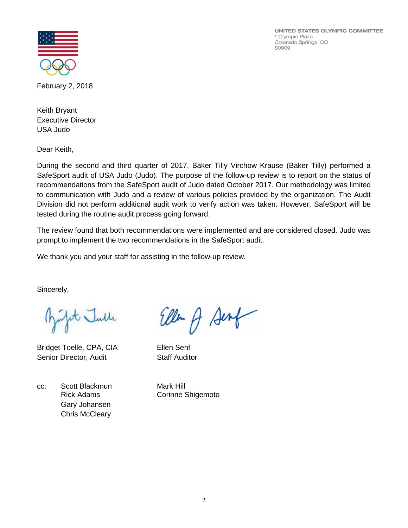UNITED STATES OLYMPIC COMMITTEE 1 Olympic Plaza Colorado Springs, CO 80909



February 2, 2018

Keith Bryant Executive Director USA Judo

Dear Keith,

During the second and third quarter of 2017, Baker Tilly Virchow Krause (Baker Tilly) performed a SafeSport audit of USA Judo (Judo). The purpose of the follow-up review is to report on the status of recommendations from the SafeSport audit of Judo dated October 2017. Our methodology was limited to communication with Judo and a review of various policies provided by the organization. The Audit Division did not perform additional audit work to verify action was taken. However, SafeSport will be tested during the routine audit process going forward.

The review found that both recommendations were implemented and are considered closed. Judo was prompt to implement the two recommendations in the SafeSport audit.

We thank you and your staff for assisting in the follow-up review.

Sincerely,

at Julle

Bridget Toelle, CPA, CIA Ellen Senf Senior Director, Audit Staff Auditor

cc: Scott Blackmun Mark Hill Gary Johansen Chris McCleary

Ellen & Senf

Rick Adams **Corinne Shigemoto**